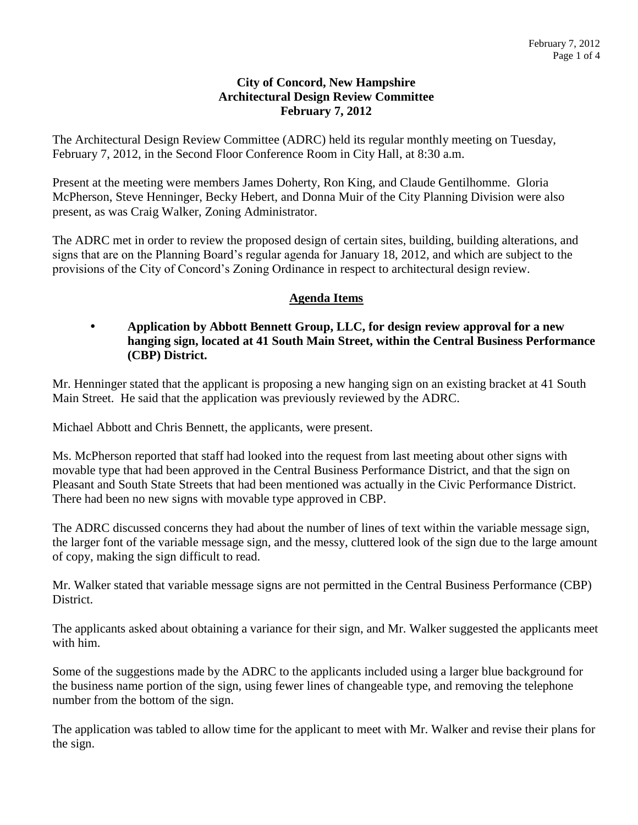#### **City of Concord, New Hampshire Architectural Design Review Committee February 7, 2012**

The Architectural Design Review Committee (ADRC) held its regular monthly meeting on Tuesday, February 7, 2012, in the Second Floor Conference Room in City Hall, at 8:30 a.m.

Present at the meeting were members James Doherty, Ron King, and Claude Gentilhomme. Gloria McPherson, Steve Henninger, Becky Hebert, and Donna Muir of the City Planning Division were also present, as was Craig Walker, Zoning Administrator.

The ADRC met in order to review the proposed design of certain sites, building, building alterations, and signs that are on the Planning Board's regular agenda for January 18, 2012, and which are subject to the provisions of the City of Concord's Zoning Ordinance in respect to architectural design review.

# **Agenda Items**

#### **Application by Abbott Bennett Group, LLC, for design review approval for a new hanging sign, located at 41 South Main Street, within the Central Business Performance (CBP) District.**

Mr. Henninger stated that the applicant is proposing a new hanging sign on an existing bracket at 41 South Main Street. He said that the application was previously reviewed by the ADRC.

Michael Abbott and Chris Bennett, the applicants, were present.

Ms. McPherson reported that staff had looked into the request from last meeting about other signs with movable type that had been approved in the Central Business Performance District, and that the sign on Pleasant and South State Streets that had been mentioned was actually in the Civic Performance District. There had been no new signs with movable type approved in CBP.

The ADRC discussed concerns they had about the number of lines of text within the variable message sign, the larger font of the variable message sign, and the messy, cluttered look of the sign due to the large amount of copy, making the sign difficult to read.

Mr. Walker stated that variable message signs are not permitted in the Central Business Performance (CBP) District.

The applicants asked about obtaining a variance for their sign, and Mr. Walker suggested the applicants meet with him.

Some of the suggestions made by the ADRC to the applicants included using a larger blue background for the business name portion of the sign, using fewer lines of changeable type, and removing the telephone number from the bottom of the sign.

The application was tabled to allow time for the applicant to meet with Mr. Walker and revise their plans for the sign.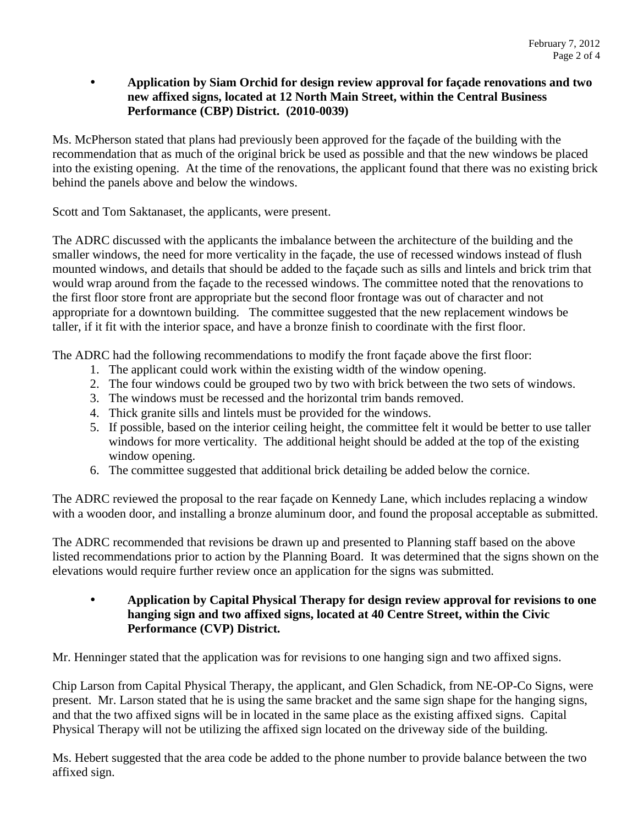#### **Application by Siam Orchid for design review approval for façade renovations and two new affixed signs, located at 12 North Main Street, within the Central Business Performance (CBP) District. (2010-0039)**

Ms. McPherson stated that plans had previously been approved for the façade of the building with the recommendation that as much of the original brick be used as possible and that the new windows be placed into the existing opening. At the time of the renovations, the applicant found that there was no existing brick behind the panels above and below the windows.

Scott and Tom Saktanaset, the applicants, were present.

The ADRC discussed with the applicants the imbalance between the architecture of the building and the smaller windows, the need for more verticality in the façade, the use of recessed windows instead of flush mounted windows, and details that should be added to the façade such as sills and lintels and brick trim that would wrap around from the façade to the recessed windows. The committee noted that the renovations to the first floor store front are appropriate but the second floor frontage was out of character and not appropriate for a downtown building. The committee suggested that the new replacement windows be taller, if it fit with the interior space, and have a bronze finish to coordinate with the first floor.

The ADRC had the following recommendations to modify the front façade above the first floor:

- 1. The applicant could work within the existing width of the window opening.
- 2. The four windows could be grouped two by two with brick between the two sets of windows.
- 3. The windows must be recessed and the horizontal trim bands removed.
- 4. Thick granite sills and lintels must be provided for the windows.
- 5. If possible, based on the interior ceiling height, the committee felt it would be better to use taller windows for more verticality. The additional height should be added at the top of the existing window opening.
- 6. The committee suggested that additional brick detailing be added below the cornice.

The ADRC reviewed the proposal to the rear façade on Kennedy Lane, which includes replacing a window with a wooden door, and installing a bronze aluminum door, and found the proposal acceptable as submitted.

The ADRC recommended that revisions be drawn up and presented to Planning staff based on the above listed recommendations prior to action by the Planning Board. It was determined that the signs shown on the elevations would require further review once an application for the signs was submitted.

 **Application by Capital Physical Therapy for design review approval for revisions to one hanging sign and two affixed signs, located at 40 Centre Street, within the Civic Performance (CVP) District.** 

Mr. Henninger stated that the application was for revisions to one hanging sign and two affixed signs.

Chip Larson from Capital Physical Therapy, the applicant, and Glen Schadick, from NE-OP-Co Signs, were present. Mr. Larson stated that he is using the same bracket and the same sign shape for the hanging signs, and that the two affixed signs will be in located in the same place as the existing affixed signs. Capital Physical Therapy will not be utilizing the affixed sign located on the driveway side of the building.

Ms. Hebert suggested that the area code be added to the phone number to provide balance between the two affixed sign.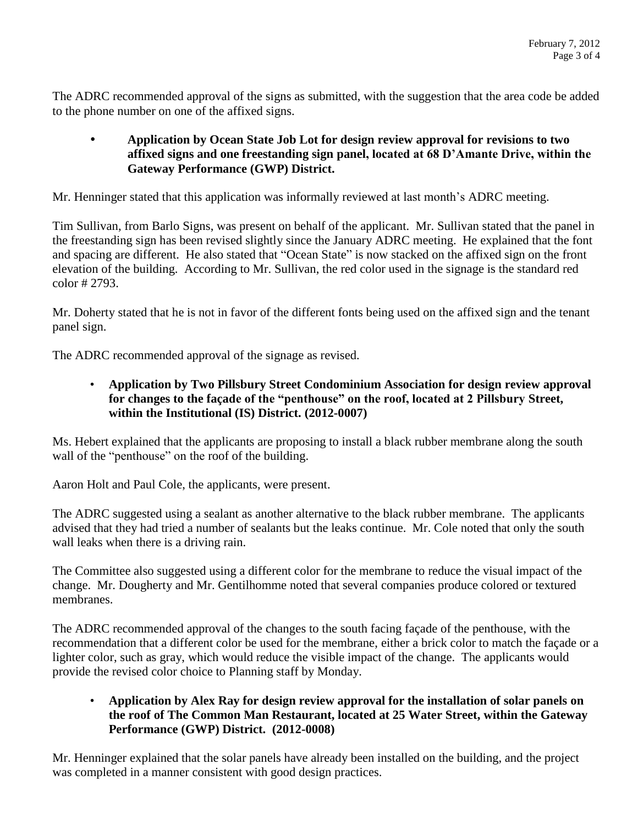The ADRC recommended approval of the signs as submitted, with the suggestion that the area code be added to the phone number on one of the affixed signs.

## **Application by Ocean State Job Lot for design review approval for revisions to two affixed signs and one freestanding sign panel, located at 68 D'Amante Drive, within the Gateway Performance (GWP) District.**

Mr. Henninger stated that this application was informally reviewed at last month's ADRC meeting.

Tim Sullivan, from Barlo Signs, was present on behalf of the applicant. Mr. Sullivan stated that the panel in the freestanding sign has been revised slightly since the January ADRC meeting. He explained that the font and spacing are different. He also stated that "Ocean State" is now stacked on the affixed sign on the front elevation of the building. According to Mr. Sullivan, the red color used in the signage is the standard red color # 2793.

Mr. Doherty stated that he is not in favor of the different fonts being used on the affixed sign and the tenant panel sign.

The ADRC recommended approval of the signage as revised.

# • **Application by Two Pillsbury Street Condominium Association for design review approval for changes to the façade of the "penthouse" on the roof, located at 2 Pillsbury Street, within the Institutional (IS) District. (2012-0007)**

Ms. Hebert explained that the applicants are proposing to install a black rubber membrane along the south wall of the "penthouse" on the roof of the building.

Aaron Holt and Paul Cole, the applicants, were present.

The ADRC suggested using a sealant as another alternative to the black rubber membrane. The applicants advised that they had tried a number of sealants but the leaks continue. Mr. Cole noted that only the south wall leaks when there is a driving rain.

The Committee also suggested using a different color for the membrane to reduce the visual impact of the change. Mr. Dougherty and Mr. Gentilhomme noted that several companies produce colored or textured membranes.

The ADRC recommended approval of the changes to the south facing façade of the penthouse, with the recommendation that a different color be used for the membrane, either a brick color to match the façade or a lighter color, such as gray, which would reduce the visible impact of the change. The applicants would provide the revised color choice to Planning staff by Monday.

# • **Application by Alex Ray for design review approval for the installation of solar panels on the roof of The Common Man Restaurant, located at 25 Water Street, within the Gateway Performance (GWP) District. (2012-0008)**

Mr. Henninger explained that the solar panels have already been installed on the building, and the project was completed in a manner consistent with good design practices.